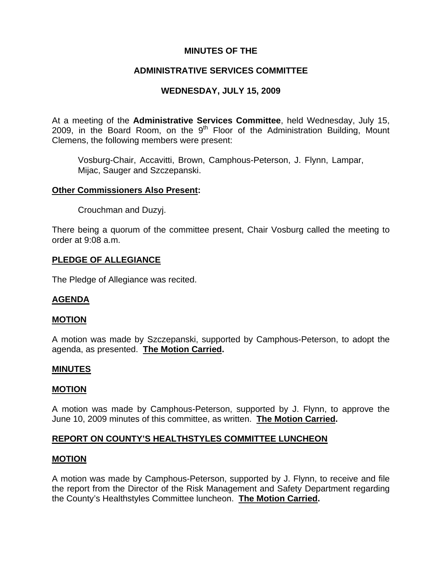## **MINUTES OF THE**

# **ADMINISTRATIVE SERVICES COMMITTEE**

# **WEDNESDAY, JULY 15, 2009**

At a meeting of the **Administrative Services Committee**, held Wednesday, July 15, 2009, in the Board Room, on the  $9<sup>th</sup>$  Floor of the Administration Building, Mount Clemens, the following members were present:

Vosburg-Chair, Accavitti, Brown, Camphous-Peterson, J. Flynn, Lampar, Mijac, Sauger and Szczepanski.

### **Other Commissioners Also Present:**

Crouchman and Duzyj.

There being a quorum of the committee present, Chair Vosburg called the meeting to order at 9:08 a.m.

### **PLEDGE OF ALLEGIANCE**

The Pledge of Allegiance was recited.

### **AGENDA**

### **MOTION**

A motion was made by Szczepanski, supported by Camphous-Peterson, to adopt the agenda, as presented. **The Motion Carried.** 

### **MINUTES**

### **MOTION**

A motion was made by Camphous-Peterson, supported by J. Flynn, to approve the June 10, 2009 minutes of this committee, as written. **The Motion Carried.** 

## **REPORT ON COUNTY'S HEALTHSTYLES COMMITTEE LUNCHEON**

### **MOTION**

A motion was made by Camphous-Peterson, supported by J. Flynn, to receive and file the report from the Director of the Risk Management and Safety Department regarding the County's Healthstyles Committee luncheon. **The Motion Carried.**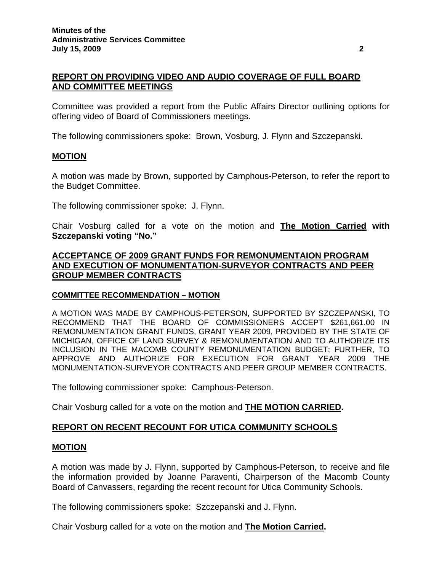# **REPORT ON PROVIDING VIDEO AND AUDIO COVERAGE OF FULL BOARD AND COMMITTEE MEETINGS**

Committee was provided a report from the Public Affairs Director outlining options for offering video of Board of Commissioners meetings.

The following commissioners spoke: Brown, Vosburg, J. Flynn and Szczepanski.

### **MOTION**

A motion was made by Brown, supported by Camphous-Peterson, to refer the report to the Budget Committee.

The following commissioner spoke: J. Flynn.

Chair Vosburg called for a vote on the motion and **The Motion Carried with Szczepanski voting "No."**

## **ACCEPTANCE OF 2009 GRANT FUNDS FOR REMONUMENTAION PROGRAM AND EXECUTION OF MONUMENTATION-SURVEYOR CONTRACTS AND PEER GROUP MEMBER CONTRACTS**

### **COMMITTEE RECOMMENDATION – MOTION**

A MOTION WAS MADE BY CAMPHOUS-PETERSON, SUPPORTED BY SZCZEPANSKI, TO RECOMMEND THAT THE BOARD OF COMMISSIONERS ACCEPT \$261,661.00 IN REMONUMENTATION GRANT FUNDS, GRANT YEAR 2009, PROVIDED BY THE STATE OF MICHIGAN, OFFICE OF LAND SURVEY & REMONUMENTATION AND TO AUTHORIZE ITS INCLUSION IN THE MACOMB COUNTY REMONUMENTATION BUDGET; FURTHER, TO APPROVE AND AUTHORIZE FOR EXECUTION FOR GRANT YEAR 2009 THE MONUMENTATION-SURVEYOR CONTRACTS AND PEER GROUP MEMBER CONTRACTS.

The following commissioner spoke: Camphous-Peterson.

Chair Vosburg called for a vote on the motion and **THE MOTION CARRIED.** 

## **REPORT ON RECENT RECOUNT FOR UTICA COMMUNITY SCHOOLS**

## **MOTION**

A motion was made by J. Flynn, supported by Camphous-Peterson, to receive and file the information provided by Joanne Paraventi, Chairperson of the Macomb County Board of Canvassers, regarding the recent recount for Utica Community Schools.

The following commissioners spoke: Szczepanski and J. Flynn.

Chair Vosburg called for a vote on the motion and **The Motion Carried.**